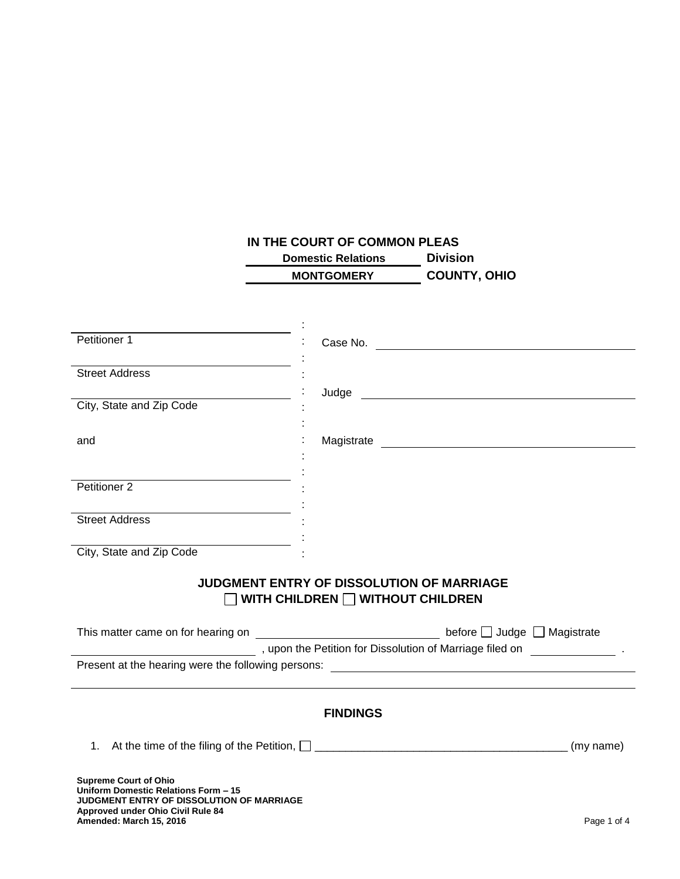# **IN THE COURT OF COMMON PLEAS**

| <b>Domestic Relations</b> | <b>Division</b>     |
|---------------------------|---------------------|
| <b>MONTGOMERY</b>         | <b>COUNTY, OHIO</b> |

| Petitioner 1                                                                   |                                                                                                                                                                                                                               |  |
|--------------------------------------------------------------------------------|-------------------------------------------------------------------------------------------------------------------------------------------------------------------------------------------------------------------------------|--|
|                                                                                | Case No.                                                                                                                                                                                                                      |  |
| <b>Street Address</b>                                                          |                                                                                                                                                                                                                               |  |
| City, State and Zip Code                                                       |                                                                                                                                                                                                                               |  |
|                                                                                |                                                                                                                                                                                                                               |  |
| and                                                                            |                                                                                                                                                                                                                               |  |
|                                                                                |                                                                                                                                                                                                                               |  |
| Petitioner 2                                                                   |                                                                                                                                                                                                                               |  |
| <b>Street Address</b>                                                          |                                                                                                                                                                                                                               |  |
|                                                                                |                                                                                                                                                                                                                               |  |
| <u> 1989 - Johann Barbara, martin a</u><br>City, State and Zip Code            |                                                                                                                                                                                                                               |  |
|                                                                                | JUDGMENT ENTRY OF DISSOLUTION OF MARRIAGE                                                                                                                                                                                     |  |
| $\Box$ WITH CHILDREN $\Box$ WITHOUT CHILDREN                                   |                                                                                                                                                                                                                               |  |
|                                                                                |                                                                                                                                                                                                                               |  |
|                                                                                | The state of Marriage filed on process and the Petition for Dissolution of Marriage filed on process and the state of the state of the state of the state of the state of the state of the state of the state of the state of |  |
|                                                                                |                                                                                                                                                                                                                               |  |
|                                                                                |                                                                                                                                                                                                                               |  |
| <b>FINDINGS</b>                                                                |                                                                                                                                                                                                                               |  |
|                                                                                |                                                                                                                                                                                                                               |  |
|                                                                                |                                                                                                                                                                                                                               |  |
| <b>Supreme Court of Ohio</b><br>Uniform Domestic Relations Form - 15           |                                                                                                                                                                                                                               |  |
| JUDGMENT ENTRY OF DISSOLUTION OF MARRIAGE<br>Approved under Ohio Civil Rule 84 |                                                                                                                                                                                                                               |  |
| Amended: March 15, 2016                                                        | Page 1 of 4                                                                                                                                                                                                                   |  |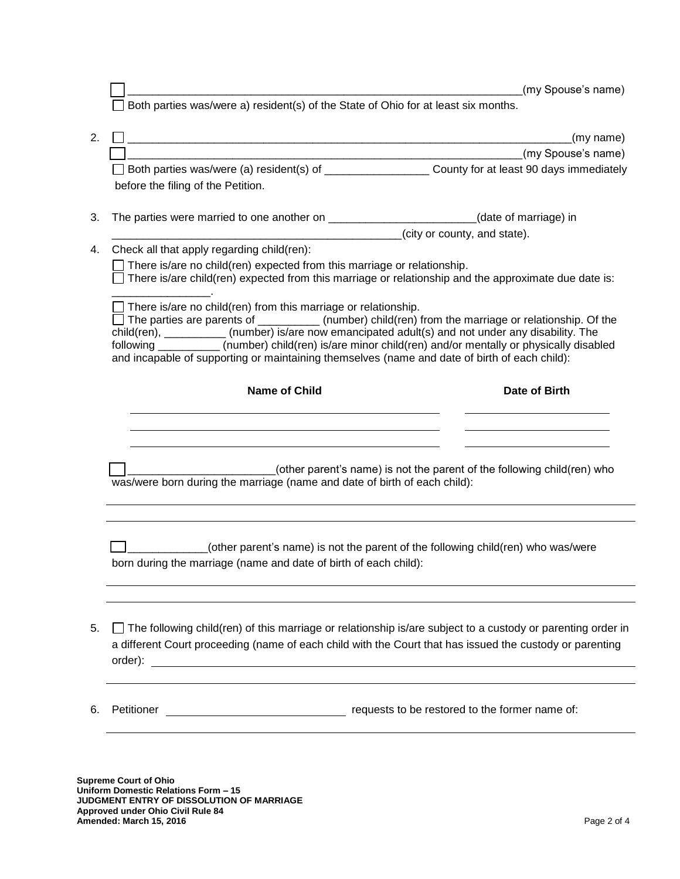de all the spouse's name)  $\Box$  Both parties was/were a) resident(s) of the State of Ohio for at least six months. 2.  $\Box$  (my name)  $(my)$  Spouse's name)  $\Box$  Both parties was/were (a) resident(s) of  $\Box$  County for at least 90 days immediately before the filing of the Petition. 3. The parties were married to one another on \_\_\_\_\_\_\_\_\_\_\_\_\_\_\_\_\_\_\_\_\_\_\_\_(date of marriage) in  $\frac{1}{\sqrt{1-\frac{1}{\sqrt{1-\frac{1}{\sqrt{1-\frac{1}{\sqrt{1-\frac{1}{\sqrt{1-\frac{1}{\sqrt{1-\frac{1}{\sqrt{1-\frac{1}{\sqrt{1-\frac{1}{\sqrt{1-\frac{1}{\sqrt{1-\frac{1}{\sqrt{1-\frac{1}{\sqrt{1-\frac{1}{\sqrt{1-\frac{1}{\sqrt{1-\frac{1}{\sqrt{1-\frac{1}{\sqrt{1-\frac{1}{\sqrt{1-\frac{1}{\sqrt{1-\frac{1}{\sqrt{1-\frac{1}{\sqrt{1-\frac{1}{\sqrt{1-\frac{1}{\sqrt{1-\frac{1}{\sqrt{1-\frac{1}{\sqrt{1-\frac{1$ 4. Check all that apply regarding child(ren): There is/are no child(ren) expected from this marriage or relationship.  $\Box$  There is/are child(ren) expected from this marriage or relationship and the approximate due date is: \_\_\_\_\_\_\_\_\_\_\_\_\_\_\_\_.  $\Box$  There is/are no child(ren) from this marriage or relationship.  $\Box$  The parties are parents of \_\_\_\_\_\_\_\_\_\_\_\_\_(number) child(ren) from the marriage or relationship. Of the child(ren), \_\_\_\_\_\_\_\_\_\_ (number) is/are now emancipated adult(s) and not under any disability. The following \_\_\_\_\_\_\_\_\_\_ (number) child(ren) is/are minor child(ren) and/or mentally or physically disabled and incapable of supporting or maintaining themselves (name and date of birth of each child): **Name of Child Date of Birth** \_\_\_\_\_\_\_\_\_\_\_\_\_\_\_\_\_\_\_\_\_\_\_\_(other parent's name) is not the parent of the following child(ren) who was/were born during the marriage (name and date of birth of each child): \_\_\_\_\_\_\_\_\_\_\_\_\_(other parent's name) is not the parent of the following child(ren) who was/were born during the marriage (name and date of birth of each child): 5. The following child(ren) of this marriage or relationship is/are subject to a custody or parenting order in a different Court proceeding (name of each child with the Court that has issued the custody or parenting order): 6. Petitioner requests to be restored to the former name of:

**Supreme Court of Ohio Uniform Domestic Relations Form – 15 JUDGMENT ENTRY OF DISSOLUTION OF MARRIAGE Approved under Ohio Civil Rule 84 Amended: March 15, 2016** Page 2 of 4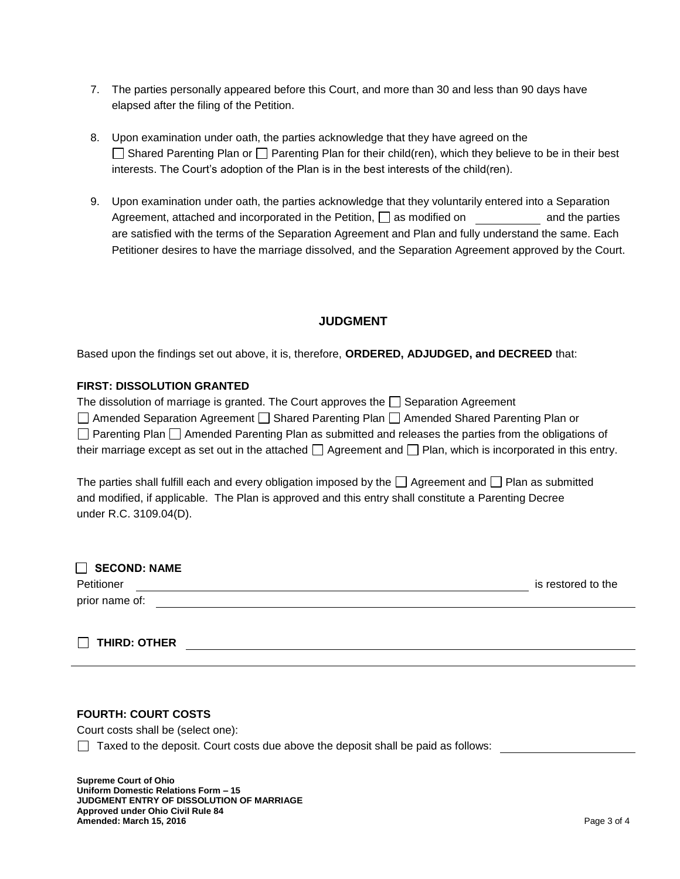- 7. The parties personally appeared before this Court, and more than 30 and less than 90 days have elapsed after the filing of the Petition.
- 8. Upon examination under oath, the parties acknowledge that they have agreed on the  $\Box$  Shared Parenting Plan or  $\Box$  Parenting Plan for their child(ren), which they believe to be in their best interests. The Court's adoption of the Plan is in the best interests of the child(ren).
- 9. Upon examination under oath, the parties acknowledge that they voluntarily entered into a Separation Agreement, attached and incorporated in the Petition,  $\Box$  as modified on and the parties are satisfied with the terms of the Separation Agreement and Plan and fully understand the same. Each Petitioner desires to have the marriage dissolved, and the Separation Agreement approved by the Court.

## **JUDGMENT**

Based upon the findings set out above, it is, therefore, **ORDERED, ADJUDGED, and DECREED** that:

#### **FIRST: DISSOLUTION GRANTED**

| The dissolution of marriage is granted. The Court approves the $\Box$ Separation Agreement                              |
|-------------------------------------------------------------------------------------------------------------------------|
| □ Amended Separation Agreement □ Shared Parenting Plan □ Amended Shared Parenting Plan or                               |
| □ Parenting Plan □ Amended Parenting Plan as submitted and releases the parties from the obligations of                 |
| their marriage except as set out in the attached $\Box$ Agreement and $\Box$ Plan, which is incorporated in this entry. |

The parties shall fulfill each and every obligation imposed by the  $\Box$  Agreement and  $\Box$  Plan as submitted and modified, if applicable. The Plan is approved and this entry shall constitute a Parenting Decree under R.C. 3109.04(D).

| <b>SECOND: NAME</b> |                    |
|---------------------|--------------------|
| Petitioner          | is restored to the |
| prior name of:      |                    |

**THIRD: OTHER**

### **FOURTH: COURT COSTS**

Court costs shall be (select one):

 $\Box$  Taxed to the deposit. Court costs due above the deposit shall be paid as follows:

**Supreme Court of Ohio Uniform Domestic Relations Form – 15 JUDGMENT ENTRY OF DISSOLUTION OF MARRIAGE Approved under Ohio Civil Rule 84 Amended: March 15, 2016** Page 3 of 4